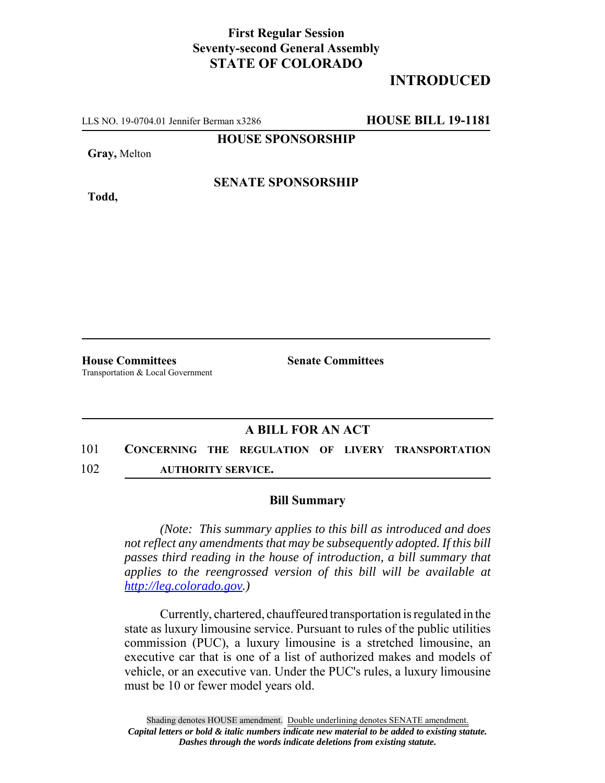## **First Regular Session Seventy-second General Assembly STATE OF COLORADO**

## **INTRODUCED**

LLS NO. 19-0704.01 Jennifer Berman x3286 **HOUSE BILL 19-1181**

**HOUSE SPONSORSHIP**

**Gray,** Melton

**Todd,**

**SENATE SPONSORSHIP**

**House Committees Senate Committees** Transportation & Local Government

## **A BILL FOR AN ACT**

- 101 **CONCERNING THE REGULATION OF LIVERY TRANSPORTATION**
- 102 **AUTHORITY SERVICE.**

## **Bill Summary**

*(Note: This summary applies to this bill as introduced and does not reflect any amendments that may be subsequently adopted. If this bill passes third reading in the house of introduction, a bill summary that applies to the reengrossed version of this bill will be available at http://leg.colorado.gov.)*

Currently, chartered, chauffeured transportation is regulated in the state as luxury limousine service. Pursuant to rules of the public utilities commission (PUC), a luxury limousine is a stretched limousine, an executive car that is one of a list of authorized makes and models of vehicle, or an executive van. Under the PUC's rules, a luxury limousine must be 10 or fewer model years old.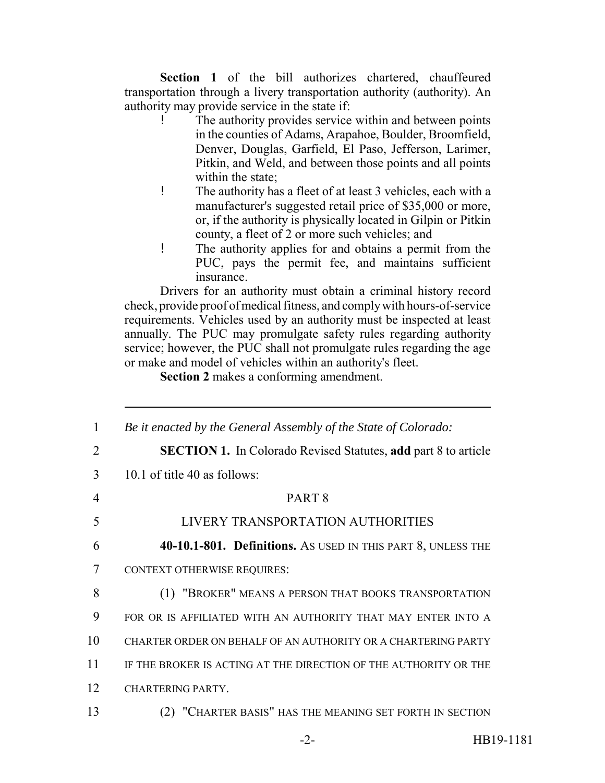**Section 1** of the bill authorizes chartered, chauffeured transportation through a livery transportation authority (authority). An authority may provide service in the state if:

- The authority provides service within and between points in the counties of Adams, Arapahoe, Boulder, Broomfield, Denver, Douglas, Garfield, El Paso, Jefferson, Larimer, Pitkin, and Weld, and between those points and all points within the state:
- ! The authority has a fleet of at least 3 vehicles, each with a manufacturer's suggested retail price of \$35,000 or more, or, if the authority is physically located in Gilpin or Pitkin county, a fleet of 2 or more such vehicles; and
- ! The authority applies for and obtains a permit from the PUC, pays the permit fee, and maintains sufficient insurance.

Drivers for an authority must obtain a criminal history record check, provide proof of medical fitness, and comply with hours-of-service requirements. Vehicles used by an authority must be inspected at least annually. The PUC may promulgate safety rules regarding authority service; however, the PUC shall not promulgate rules regarding the age or make and model of vehicles within an authority's fleet.

**Section 2** makes a conforming amendment.

| $\mathbf{1}$ | Be it enacted by the General Assembly of the State of Colorado:       |
|--------------|-----------------------------------------------------------------------|
| 2            | <b>SECTION 1.</b> In Colorado Revised Statutes, add part 8 to article |
| 3            | 10.1 of title 40 as follows:                                          |
| 4            | PART <sub>8</sub>                                                     |
| 5            | LIVERY TRANSPORTATION AUTHORITIES                                     |
| 6            | 40-10.1-801. Definitions. AS USED IN THIS PART 8, UNLESS THE          |
| 7            | <b>CONTEXT OTHERWISE REQUIRES:</b>                                    |
| 8            | (1) "BROKER" MEANS A PERSON THAT BOOKS TRANSPORTATION                 |
| 9            | FOR OR IS AFFILIATED WITH AN AUTHORITY THAT MAY ENTER INTO A          |
| 10           | CHARTER ORDER ON BEHALF OF AN AUTHORITY OR A CHARTERING PARTY         |
| 11           | IF THE BROKER IS ACTING AT THE DIRECTION OF THE AUTHORITY OR THE      |
| 12           | <b>CHARTERING PARTY.</b>                                              |
| 13           | (2) "CHARTER BASIS" HAS THE MEANING SET FORTH IN SECTION              |
|              | HB19-1181<br>$-2-$                                                    |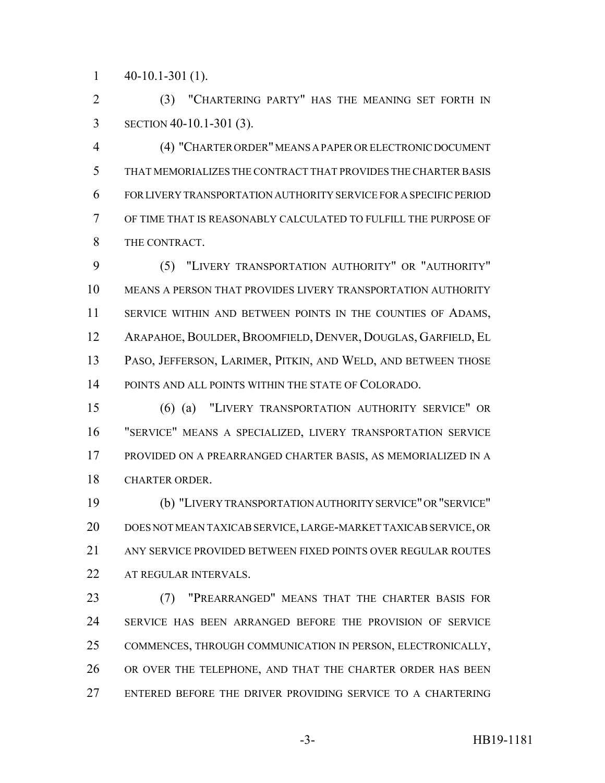$1 \quad 40-10.1-301(1)$ .

 (3) "CHARTERING PARTY" HAS THE MEANING SET FORTH IN SECTION 40-10.1-301 (3).

 (4) "CHARTER ORDER" MEANS A PAPER OR ELECTRONIC DOCUMENT THAT MEMORIALIZES THE CONTRACT THAT PROVIDES THE CHARTER BASIS FOR LIVERY TRANSPORTATION AUTHORITY SERVICE FOR A SPECIFIC PERIOD OF TIME THAT IS REASONABLY CALCULATED TO FULFILL THE PURPOSE OF THE CONTRACT.

 (5) "LIVERY TRANSPORTATION AUTHORITY" OR "AUTHORITY" MEANS A PERSON THAT PROVIDES LIVERY TRANSPORTATION AUTHORITY 11 SERVICE WITHIN AND BETWEEN POINTS IN THE COUNTIES OF ADAMS, 12 ARAPAHOE, BOULDER, BROOMFIELD, DENVER, DOUGLAS, GARFIELD, EL PASO, JEFFERSON, LARIMER, PITKIN, AND WELD, AND BETWEEN THOSE POINTS AND ALL POINTS WITHIN THE STATE OF COLORADO.

 (6) (a) "LIVERY TRANSPORTATION AUTHORITY SERVICE" OR "SERVICE" MEANS A SPECIALIZED, LIVERY TRANSPORTATION SERVICE PROVIDED ON A PREARRANGED CHARTER BASIS, AS MEMORIALIZED IN A CHARTER ORDER.

 (b) "LIVERY TRANSPORTATION AUTHORITY SERVICE" OR "SERVICE" DOES NOT MEAN TAXICAB SERVICE, LARGE-MARKET TAXICAB SERVICE, OR ANY SERVICE PROVIDED BETWEEN FIXED POINTS OVER REGULAR ROUTES AT REGULAR INTERVALS.

 (7) "PREARRANGED" MEANS THAT THE CHARTER BASIS FOR SERVICE HAS BEEN ARRANGED BEFORE THE PROVISION OF SERVICE COMMENCES, THROUGH COMMUNICATION IN PERSON, ELECTRONICALLY, OR OVER THE TELEPHONE, AND THAT THE CHARTER ORDER HAS BEEN ENTERED BEFORE THE DRIVER PROVIDING SERVICE TO A CHARTERING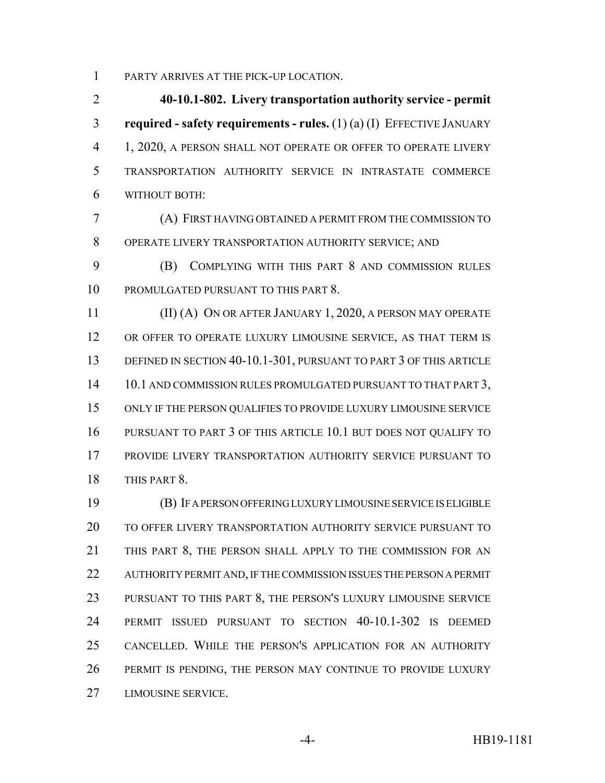PARTY ARRIVES AT THE PICK-UP LOCATION.

 **40-10.1-802. Livery transportation authority service - permit required - safety requirements - rules.** (1) (a) (I) EFFECTIVE JANUARY 1, 2020, A PERSON SHALL NOT OPERATE OR OFFER TO OPERATE LIVERY TRANSPORTATION AUTHORITY SERVICE IN INTRASTATE COMMERCE WITHOUT BOTH:

 (A) FIRST HAVING OBTAINED A PERMIT FROM THE COMMISSION TO OPERATE LIVERY TRANSPORTATION AUTHORITY SERVICE; AND

 (B) COMPLYING WITH THIS PART 8 AND COMMISSION RULES PROMULGATED PURSUANT TO THIS PART 8.

 (II) (A) ON OR AFTER JANUARY 1, 2020, A PERSON MAY OPERATE OR OFFER TO OPERATE LUXURY LIMOUSINE SERVICE, AS THAT TERM IS 13 DEFINED IN SECTION 40-10.1-301, PURSUANT TO PART 3 OF THIS ARTICLE 14 10.1 AND COMMISSION RULES PROMULGATED PURSUANT TO THAT PART 3, ONLY IF THE PERSON QUALIFIES TO PROVIDE LUXURY LIMOUSINE SERVICE PURSUANT TO PART 3 OF THIS ARTICLE 10.1 BUT DOES NOT QUALIFY TO PROVIDE LIVERY TRANSPORTATION AUTHORITY SERVICE PURSUANT TO THIS PART 8.

 (B) IF A PERSON OFFERING LUXURY LIMOUSINE SERVICE IS ELIGIBLE TO OFFER LIVERY TRANSPORTATION AUTHORITY SERVICE PURSUANT TO THIS PART 8, THE PERSON SHALL APPLY TO THE COMMISSION FOR AN AUTHORITY PERMIT AND, IF THE COMMISSION ISSUES THE PERSON A PERMIT PURSUANT TO THIS PART 8, THE PERSON'S LUXURY LIMOUSINE SERVICE PERMIT ISSUED PURSUANT TO SECTION 40-10.1-302 IS DEEMED CANCELLED. WHILE THE PERSON'S APPLICATION FOR AN AUTHORITY PERMIT IS PENDING, THE PERSON MAY CONTINUE TO PROVIDE LUXURY LIMOUSINE SERVICE.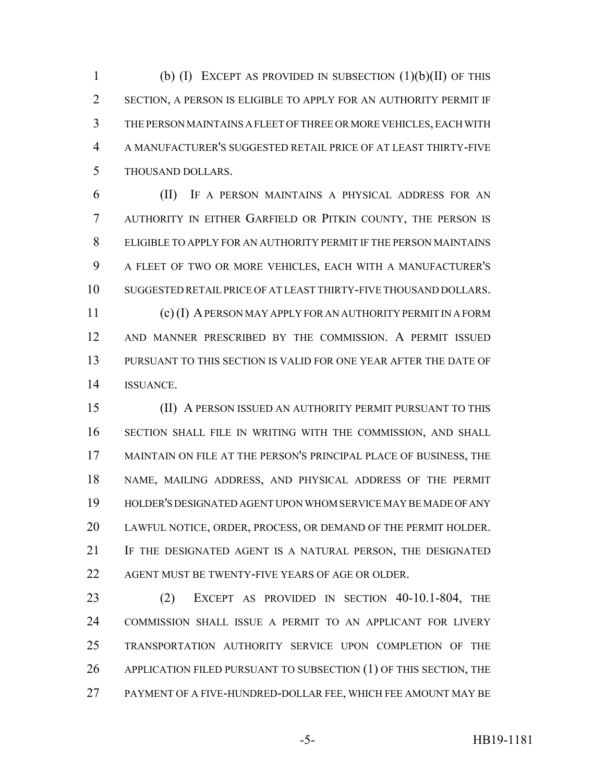1 (b) (I) EXCEPT AS PROVIDED IN SUBSECTION  $(1)(b)(II)$  OF THIS SECTION, A PERSON IS ELIGIBLE TO APPLY FOR AN AUTHORITY PERMIT IF THE PERSON MAINTAINS A FLEET OF THREE OR MORE VEHICLES, EACH WITH A MANUFACTURER'S SUGGESTED RETAIL PRICE OF AT LEAST THIRTY-FIVE THOUSAND DOLLARS.

 (II) IF A PERSON MAINTAINS A PHYSICAL ADDRESS FOR AN AUTHORITY IN EITHER GARFIELD OR PITKIN COUNTY, THE PERSON IS ELIGIBLE TO APPLY FOR AN AUTHORITY PERMIT IF THE PERSON MAINTAINS A FLEET OF TWO OR MORE VEHICLES, EACH WITH A MANUFACTURER'S SUGGESTED RETAIL PRICE OF AT LEAST THIRTY-FIVE THOUSAND DOLLARS. (c) (I) A PERSON MAY APPLY FOR AN AUTHORITY PERMIT IN A FORM AND MANNER PRESCRIBED BY THE COMMISSION. A PERMIT ISSUED PURSUANT TO THIS SECTION IS VALID FOR ONE YEAR AFTER THE DATE OF ISSUANCE.

 (II) A PERSON ISSUED AN AUTHORITY PERMIT PURSUANT TO THIS SECTION SHALL FILE IN WRITING WITH THE COMMISSION, AND SHALL MAINTAIN ON FILE AT THE PERSON'S PRINCIPAL PLACE OF BUSINESS, THE NAME, MAILING ADDRESS, AND PHYSICAL ADDRESS OF THE PERMIT HOLDER'S DESIGNATED AGENT UPON WHOM SERVICE MAY BE MADE OF ANY LAWFUL NOTICE, ORDER, PROCESS, OR DEMAND OF THE PERMIT HOLDER. IF THE DESIGNATED AGENT IS A NATURAL PERSON, THE DESIGNATED AGENT MUST BE TWENTY-FIVE YEARS OF AGE OR OLDER.

 (2) EXCEPT AS PROVIDED IN SECTION 40-10.1-804, THE COMMISSION SHALL ISSUE A PERMIT TO AN APPLICANT FOR LIVERY TRANSPORTATION AUTHORITY SERVICE UPON COMPLETION OF THE 26 APPLICATION FILED PURSUANT TO SUBSECTION (1) OF THIS SECTION, THE PAYMENT OF A FIVE-HUNDRED-DOLLAR FEE, WHICH FEE AMOUNT MAY BE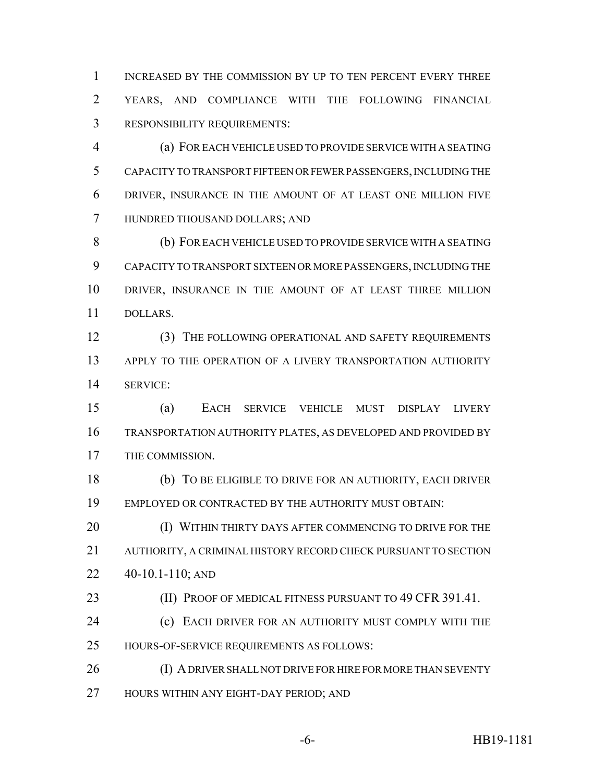INCREASED BY THE COMMISSION BY UP TO TEN PERCENT EVERY THREE YEARS, AND COMPLIANCE WITH THE FOLLOWING FINANCIAL RESPONSIBILITY REQUIREMENTS:

 (a) FOR EACH VEHICLE USED TO PROVIDE SERVICE WITH A SEATING CAPACITY TO TRANSPORT FIFTEEN OR FEWER PASSENGERS, INCLUDING THE DRIVER, INSURANCE IN THE AMOUNT OF AT LEAST ONE MILLION FIVE HUNDRED THOUSAND DOLLARS; AND

 (b) FOR EACH VEHICLE USED TO PROVIDE SERVICE WITH A SEATING CAPACITY TO TRANSPORT SIXTEEN OR MORE PASSENGERS, INCLUDING THE DRIVER, INSURANCE IN THE AMOUNT OF AT LEAST THREE MILLION DOLLARS.

12 (3) THE FOLLOWING OPERATIONAL AND SAFETY REQUIREMENTS APPLY TO THE OPERATION OF A LIVERY TRANSPORTATION AUTHORITY SERVICE:

 (a) EACH SERVICE VEHICLE MUST DISPLAY LIVERY TRANSPORTATION AUTHORITY PLATES, AS DEVELOPED AND PROVIDED BY THE COMMISSION.

 (b) TO BE ELIGIBLE TO DRIVE FOR AN AUTHORITY, EACH DRIVER EMPLOYED OR CONTRACTED BY THE AUTHORITY MUST OBTAIN:

**(I) WITHIN THIRTY DAYS AFTER COMMENCING TO DRIVE FOR THE**  AUTHORITY, A CRIMINAL HISTORY RECORD CHECK PURSUANT TO SECTION 40-10.1-110; AND

**(II) PROOF OF MEDICAL FITNESS PURSUANT TO 49 CFR 391.41.** 

 (c) EACH DRIVER FOR AN AUTHORITY MUST COMPLY WITH THE HOURS-OF-SERVICE REQUIREMENTS AS FOLLOWS:

26 (I) A DRIVER SHALL NOT DRIVE FOR HIRE FOR MORE THAN SEVENTY HOURS WITHIN ANY EIGHT-DAY PERIOD; AND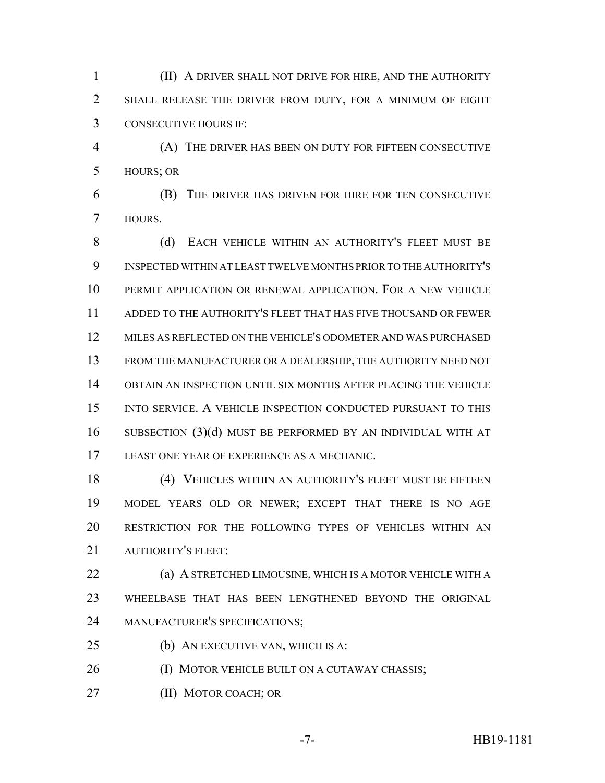(II) A DRIVER SHALL NOT DRIVE FOR HIRE, AND THE AUTHORITY SHALL RELEASE THE DRIVER FROM DUTY, FOR A MINIMUM OF EIGHT CONSECUTIVE HOURS IF:

 (A) THE DRIVER HAS BEEN ON DUTY FOR FIFTEEN CONSECUTIVE HOURS; OR

 (B) THE DRIVER HAS DRIVEN FOR HIRE FOR TEN CONSECUTIVE HOURS.

8 (d) EACH VEHICLE WITHIN AN AUTHORITY'S FLEET MUST BE INSPECTED WITHIN AT LEAST TWELVE MONTHS PRIOR TO THE AUTHORITY'S PERMIT APPLICATION OR RENEWAL APPLICATION. FOR A NEW VEHICLE ADDED TO THE AUTHORITY'S FLEET THAT HAS FIVE THOUSAND OR FEWER MILES AS REFLECTED ON THE VEHICLE'S ODOMETER AND WAS PURCHASED FROM THE MANUFACTURER OR A DEALERSHIP, THE AUTHORITY NEED NOT OBTAIN AN INSPECTION UNTIL SIX MONTHS AFTER PLACING THE VEHICLE 15 INTO SERVICE. A VEHICLE INSPECTION CONDUCTED PURSUANT TO THIS SUBSECTION (3)(d) MUST BE PERFORMED BY AN INDIVIDUAL WITH AT LEAST ONE YEAR OF EXPERIENCE AS A MECHANIC.

 (4) VEHICLES WITHIN AN AUTHORITY'S FLEET MUST BE FIFTEEN MODEL YEARS OLD OR NEWER; EXCEPT THAT THERE IS NO AGE RESTRICTION FOR THE FOLLOWING TYPES OF VEHICLES WITHIN AN AUTHORITY'S FLEET:

 (a) A STRETCHED LIMOUSINE, WHICH IS A MOTOR VEHICLE WITH A WHEELBASE THAT HAS BEEN LENGTHENED BEYOND THE ORIGINAL MANUFACTURER'S SPECIFICATIONS;

(b) AN EXECUTIVE VAN, WHICH IS A:

**(I) MOTOR VEHICLE BUILT ON A CUTAWAY CHASSIS;** 

(II) MOTOR COACH; OR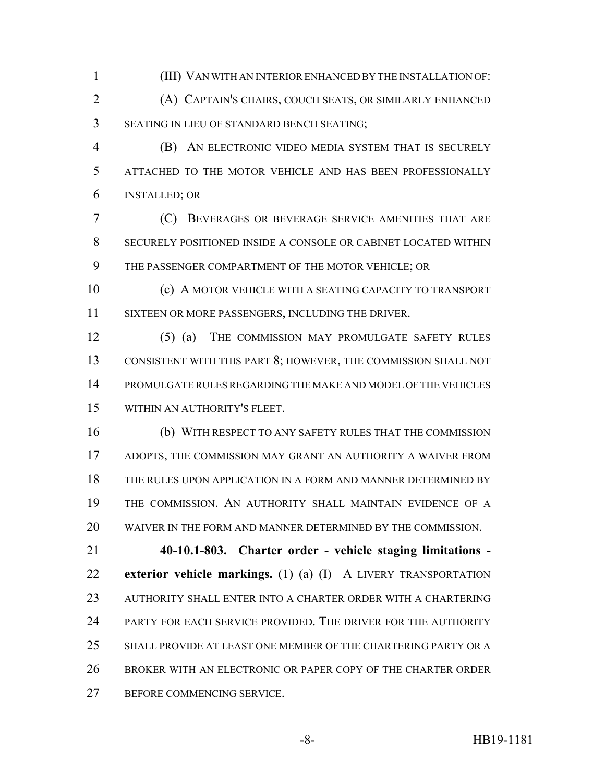(III) VAN WITH AN INTERIOR ENHANCED BY THE INSTALLATION OF:

 (A) CAPTAIN'S CHAIRS, COUCH SEATS, OR SIMILARLY ENHANCED SEATING IN LIEU OF STANDARD BENCH SEATING;

 (B) AN ELECTRONIC VIDEO MEDIA SYSTEM THAT IS SECURELY ATTACHED TO THE MOTOR VEHICLE AND HAS BEEN PROFESSIONALLY INSTALLED; OR

 (C) BEVERAGES OR BEVERAGE SERVICE AMENITIES THAT ARE SECURELY POSITIONED INSIDE A CONSOLE OR CABINET LOCATED WITHIN THE PASSENGER COMPARTMENT OF THE MOTOR VEHICLE; OR

 (c) A MOTOR VEHICLE WITH A SEATING CAPACITY TO TRANSPORT SIXTEEN OR MORE PASSENGERS, INCLUDING THE DRIVER.

 (5) (a) THE COMMISSION MAY PROMULGATE SAFETY RULES CONSISTENT WITH THIS PART 8; HOWEVER, THE COMMISSION SHALL NOT PROMULGATE RULES REGARDING THE MAKE AND MODEL OF THE VEHICLES WITHIN AN AUTHORITY'S FLEET.

 (b) WITH RESPECT TO ANY SAFETY RULES THAT THE COMMISSION ADOPTS, THE COMMISSION MAY GRANT AN AUTHORITY A WAIVER FROM THE RULES UPON APPLICATION IN A FORM AND MANNER DETERMINED BY THE COMMISSION. AN AUTHORITY SHALL MAINTAIN EVIDENCE OF A WAIVER IN THE FORM AND MANNER DETERMINED BY THE COMMISSION.

 **40-10.1-803. Charter order - vehicle staging limitations - exterior vehicle markings.** (1) (a) (I) A LIVERY TRANSPORTATION AUTHORITY SHALL ENTER INTO A CHARTER ORDER WITH A CHARTERING PARTY FOR EACH SERVICE PROVIDED. THE DRIVER FOR THE AUTHORITY SHALL PROVIDE AT LEAST ONE MEMBER OF THE CHARTERING PARTY OR A BROKER WITH AN ELECTRONIC OR PAPER COPY OF THE CHARTER ORDER BEFORE COMMENCING SERVICE.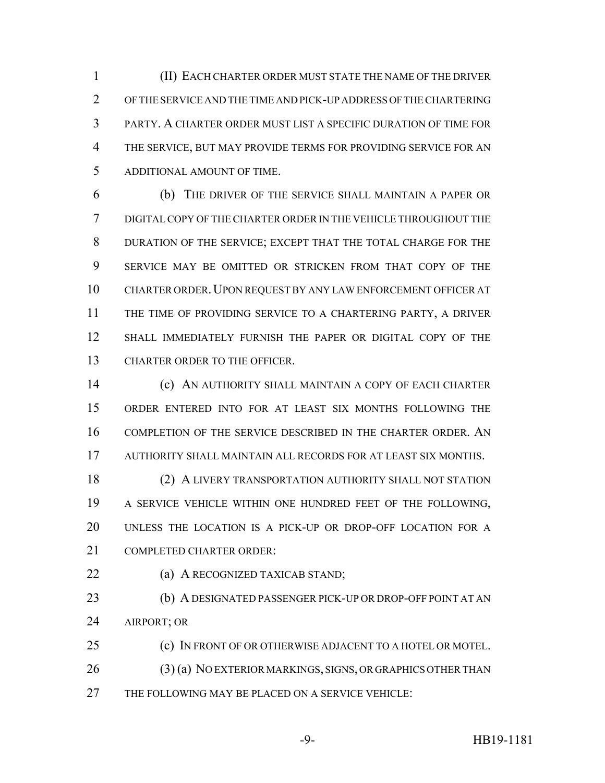(II) EACH CHARTER ORDER MUST STATE THE NAME OF THE DRIVER OF THE SERVICE AND THE TIME AND PICK-UP ADDRESS OF THE CHARTERING PARTY. A CHARTER ORDER MUST LIST A SPECIFIC DURATION OF TIME FOR THE SERVICE, BUT MAY PROVIDE TERMS FOR PROVIDING SERVICE FOR AN ADDITIONAL AMOUNT OF TIME.

 (b) THE DRIVER OF THE SERVICE SHALL MAINTAIN A PAPER OR DIGITAL COPY OF THE CHARTER ORDER IN THE VEHICLE THROUGHOUT THE DURATION OF THE SERVICE; EXCEPT THAT THE TOTAL CHARGE FOR THE SERVICE MAY BE OMITTED OR STRICKEN FROM THAT COPY OF THE CHARTER ORDER.UPON REQUEST BY ANY LAW ENFORCEMENT OFFICER AT THE TIME OF PROVIDING SERVICE TO A CHARTERING PARTY, A DRIVER SHALL IMMEDIATELY FURNISH THE PAPER OR DIGITAL COPY OF THE CHARTER ORDER TO THE OFFICER.

 (c) AN AUTHORITY SHALL MAINTAIN A COPY OF EACH CHARTER ORDER ENTERED INTO FOR AT LEAST SIX MONTHS FOLLOWING THE COMPLETION OF THE SERVICE DESCRIBED IN THE CHARTER ORDER. AN AUTHORITY SHALL MAINTAIN ALL RECORDS FOR AT LEAST SIX MONTHS.

 (2) A LIVERY TRANSPORTATION AUTHORITY SHALL NOT STATION A SERVICE VEHICLE WITHIN ONE HUNDRED FEET OF THE FOLLOWING, UNLESS THE LOCATION IS A PICK-UP OR DROP-OFF LOCATION FOR A COMPLETED CHARTER ORDER:

**(a) A RECOGNIZED TAXICAB STAND;** 

 (b) A DESIGNATED PASSENGER PICK-UP OR DROP-OFF POINT AT AN AIRPORT; OR

 (c) IN FRONT OF OR OTHERWISE ADJACENT TO A HOTEL OR MOTEL. 26 (3) (a) NO EXTERIOR MARKINGS, SIGNS, OR GRAPHICS OTHER THAN THE FOLLOWING MAY BE PLACED ON A SERVICE VEHICLE: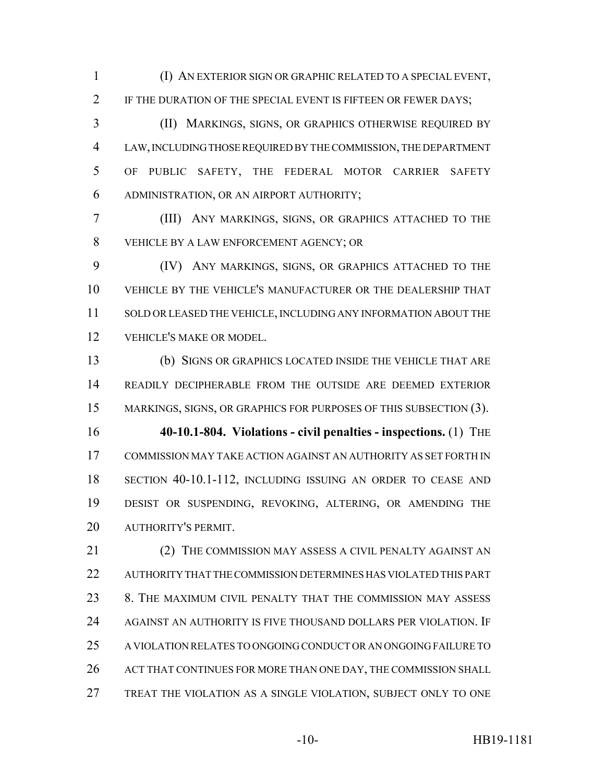(I) AN EXTERIOR SIGN OR GRAPHIC RELATED TO A SPECIAL EVENT, 2 IF THE DURATION OF THE SPECIAL EVENT IS FIFTEEN OR FEWER DAYS;

 (II) MARKINGS, SIGNS, OR GRAPHICS OTHERWISE REQUIRED BY LAW, INCLUDING THOSE REQUIRED BY THE COMMISSION, THE DEPARTMENT OF PUBLIC SAFETY, THE FEDERAL MOTOR CARRIER SAFETY ADMINISTRATION, OR AN AIRPORT AUTHORITY;

 (III) ANY MARKINGS, SIGNS, OR GRAPHICS ATTACHED TO THE VEHICLE BY A LAW ENFORCEMENT AGENCY; OR

 (IV) ANY MARKINGS, SIGNS, OR GRAPHICS ATTACHED TO THE VEHICLE BY THE VEHICLE'S MANUFACTURER OR THE DEALERSHIP THAT SOLD OR LEASED THE VEHICLE, INCLUDING ANY INFORMATION ABOUT THE VEHICLE'S MAKE OR MODEL.

 (b) SIGNS OR GRAPHICS LOCATED INSIDE THE VEHICLE THAT ARE READILY DECIPHERABLE FROM THE OUTSIDE ARE DEEMED EXTERIOR 15 MARKINGS, SIGNS, OR GRAPHICS FOR PURPOSES OF THIS SUBSECTION (3).

 **40-10.1-804. Violations - civil penalties - inspections.** (1) THE COMMISSION MAY TAKE ACTION AGAINST AN AUTHORITY AS SET FORTH IN SECTION 40-10.1-112, INCLUDING ISSUING AN ORDER TO CEASE AND DESIST OR SUSPENDING, REVOKING, ALTERING, OR AMENDING THE AUTHORITY'S PERMIT.

21 (2) THE COMMISSION MAY ASSESS A CIVIL PENALTY AGAINST AN AUTHORITY THAT THE COMMISSION DETERMINES HAS VIOLATED THIS PART 8. THE MAXIMUM CIVIL PENALTY THAT THE COMMISSION MAY ASSESS AGAINST AN AUTHORITY IS FIVE THOUSAND DOLLARS PER VIOLATION. IF A VIOLATION RELATES TO ONGOING CONDUCT OR AN ONGOING FAILURE TO ACT THAT CONTINUES FOR MORE THAN ONE DAY, THE COMMISSION SHALL TREAT THE VIOLATION AS A SINGLE VIOLATION, SUBJECT ONLY TO ONE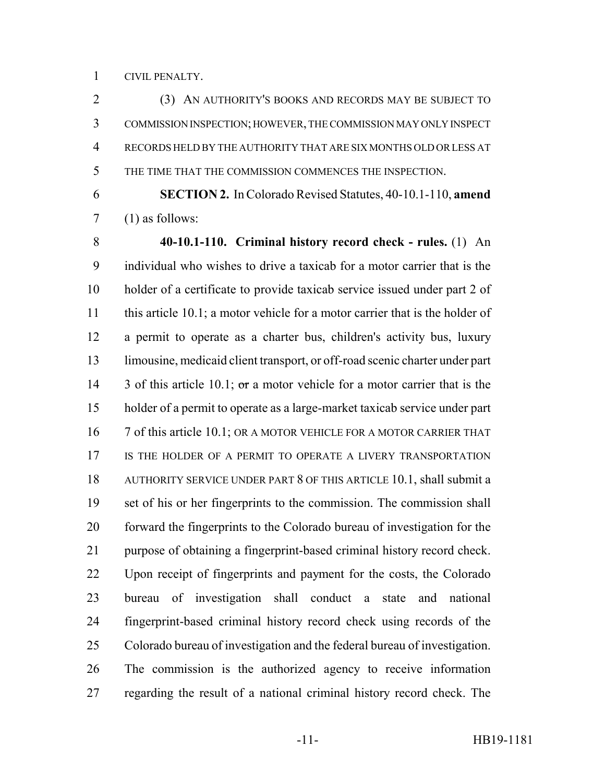CIVIL PENALTY.

 (3) AN AUTHORITY'S BOOKS AND RECORDS MAY BE SUBJECT TO COMMISSION INSPECTION; HOWEVER, THE COMMISSION MAY ONLY INSPECT RECORDS HELD BY THE AUTHORITY THAT ARE SIX MONTHS OLD OR LESS AT THE TIME THAT THE COMMISSION COMMENCES THE INSPECTION.

 **SECTION 2.** In Colorado Revised Statutes, 40-10.1-110, **amend** (1) as follows:

 **40-10.1-110. Criminal history record check - rules.** (1) An individual who wishes to drive a taxicab for a motor carrier that is the holder of a certificate to provide taxicab service issued under part 2 of this article 10.1; a motor vehicle for a motor carrier that is the holder of a permit to operate as a charter bus, children's activity bus, luxury limousine, medicaid client transport, or off-road scenic charter under part 14 3 of this article 10.1; or a motor vehicle for a motor carrier that is the holder of a permit to operate as a large-market taxicab service under part 16 7 of this article 10.1; OR A MOTOR VEHICLE FOR A MOTOR CARRIER THAT 17 IS THE HOLDER OF A PERMIT TO OPERATE A LIVERY TRANSPORTATION AUTHORITY SERVICE UNDER PART 8 OF THIS ARTICLE 10.1, shall submit a set of his or her fingerprints to the commission. The commission shall forward the fingerprints to the Colorado bureau of investigation for the purpose of obtaining a fingerprint-based criminal history record check. Upon receipt of fingerprints and payment for the costs, the Colorado bureau of investigation shall conduct a state and national fingerprint-based criminal history record check using records of the Colorado bureau of investigation and the federal bureau of investigation. The commission is the authorized agency to receive information regarding the result of a national criminal history record check. The